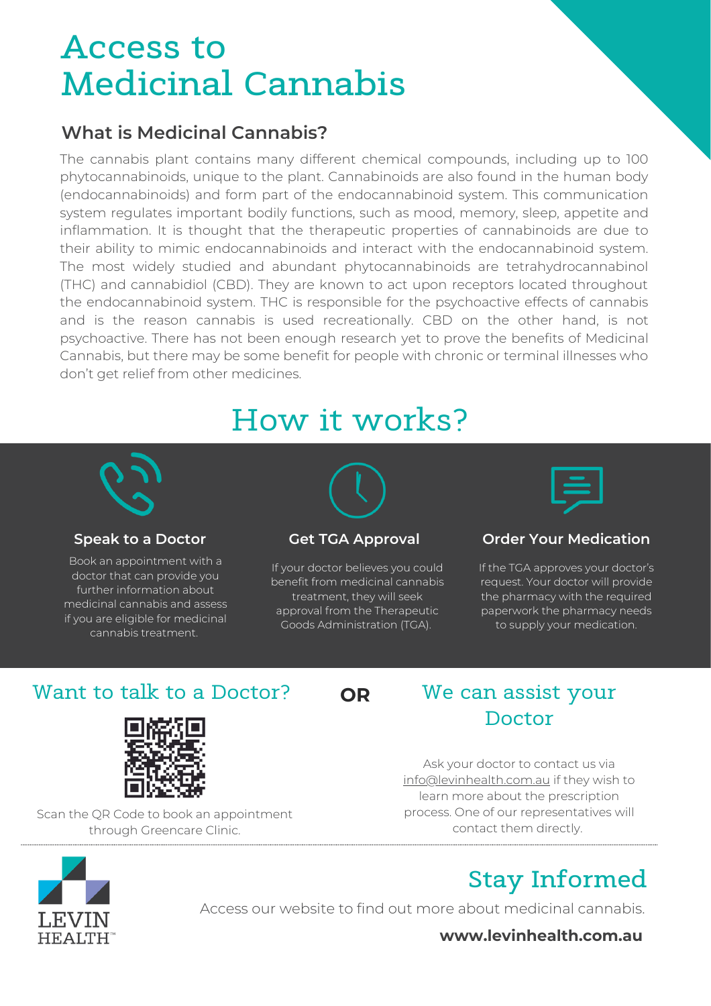## **Access to Medicinal Cannabis**

#### **What is Medicinal Cannabis?**

The cannabis plant contains many different chemical compounds, including up to 100 phytocannabinoids, unique to the plant. Cannabinoids are also found in the human body (endocannabinoids) and form part of the endocannabinoid system. This communication system regulates important bodily functions, such as mood, memory, sleep, appetite and inflammation. It is thought that the therapeutic properties of cannabinoids are due to their ability to mimic endocannabinoids and interact with the endocannabinoid system. The most widely studied and abundant phytocannabinoids are tetrahydrocannabinol (THC) and cannabidiol (CBD). They are known to act upon receptors located throughout the endocannabinoid system. THC is responsible for the psychoactive effects of cannabis and is the reason cannabis is used recreationally. CBD on the other hand, is not psychoactive. There has not been enough research yet to prove the benefits of Medicinal Cannabis, but there may be some benefit for people with chronic or terminal illnesses who don't get relief from other medicines.

## How it works?



Book an appointment with a doctor that can provide you further information about medicinal cannabis and assess if you are eligible for medicinal cannabis treatment.

If your doctor believes you could benefit from medicinal cannabis treatment, they will seek approval from the Therapeutic Goods Administration (TGA).



#### **Speak to a Doctor Get TGA Approval Order Your Medication**

If the TGA approves your doctor's request. Your doctor will provide the pharmacy with the required paperwork the pharmacy needs to supply your medication.

#### Want to talk to a Doctor?  $OR$  We can assist your



Scan the QR Code to book an appointment through Greencare Clinic.

**OR**

# Doctor

Ask your doctor to contact us via [info@levinhealth.com.au](mailto:info@levinhealth.com.au) if they wish to learn more about the prescription process. One of our representatives will contact them directly.



## **Stay Informed**

Access our website to find out more about medicinal cannabis.

**www.levinhealth.com.au**